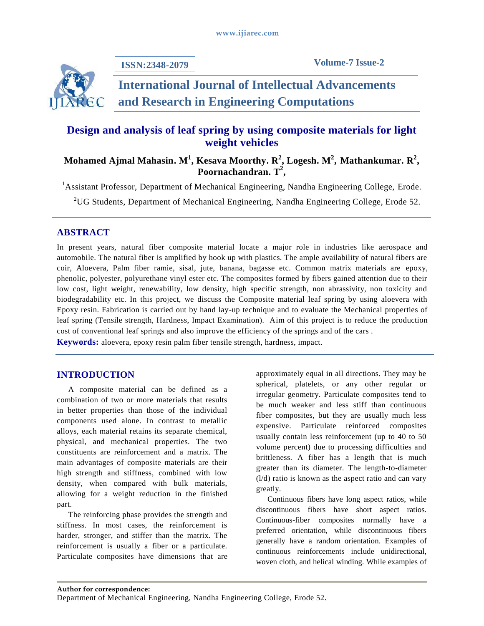

**ISSN:2348-2079**

# **International Journal of Intellectual Advancements and Research in Engineering Computations**

# **Design and analysis of leaf spring by using composite materials for light weight vehicles**

# **Mohamed Ajmal Mahasin. M<sup>1</sup> , Kesava Moorthy. R 2 , Logesh. M<sup>2</sup> , Mathankumar. R 2 , Poornachandran. T 2 ,**

<sup>1</sup> Assistant Professor, Department of Mechanical Engineering, Nandha Engineering College, Erode.

<sup>2</sup>UG Students, Department of Mechanical Engineering, Nandha Engineering College, Erode 52.

# **ABSTRACT**

In present years, natural fiber composite material locate a major role in industries like aerospace and automobile. The natural fiber is amplified by hook up with plastics. The ample availability of natural fibers are coir, Aloevera, Palm fiber ramie, sisal, jute, banana, bagasse etc. Common matrix materials are epoxy, phenolic, polyester, polyurethane vinyl ester etc. The composites formed by fibers gained attention due to their low cost, light weight, renewability, low density, high specific strength, non abrassivity, non toxicity and biodegradability etc. In this project, we discuss the Composite material leaf spring by using aloevera with Epoxy resin. Fabrication is carried out by hand lay-up technique and to evaluate the Mechanical properties of leaf spring (Tensile strength, Hardness, Impact Examination). Aim of this project is to reduce the production cost of conventional leaf springs and also improve the efficiency of the springs and of the cars .

**Keywords:** aloevera, epoxy resin palm fiber tensile strength, hardness, impact.

# **INTRODUCTION**

A composite material can be defined as a combination of two or more materials that results in better properties than those of the individual components used alone. In contrast to metallic alloys, each material retains its separate chemical, physical, and mechanical properties. The two constituents are reinforcement and a matrix. The main advantages of composite materials are their high strength and stiffness, combined with low density, when compared with bulk materials, allowing for a weight reduction in the finished part.

The reinforcing phase provides the strength and stiffness. In most cases, the reinforcement is harder, stronger, and stiffer than the matrix. The reinforcement is usually a fiber or a particulate. Particulate composites have dimensions that are approximately equal in all directions. They may be spherical, platelets, or any other regular or irregular geometry. Particulate composites tend to be much weaker and less stiff than continuous fiber composites, but they are usually much less expensive. Particulate reinforced composites usually contain less reinforcement (up to 40 to 50 volume percent) due to processing difficulties and brittleness. A fiber has a length that is much greater than its diameter. The length-to-diameter (l/d) ratio is known as the aspect ratio and can vary greatly.

Continuous fibers have long aspect ratios, while discontinuous fibers have short aspect ratios. Continuous-fiber composites normally have a preferred orientation, while discontinuous fibers generally have a random orientation. Examples of continuous reinforcements include unidirectional, woven cloth, and helical winding. While examples of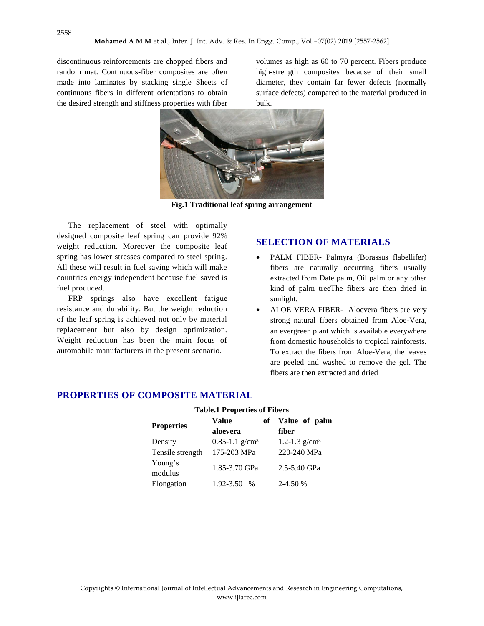discontinuous reinforcements are chopped fibers and random mat. Continuous-fiber composites are often made into laminates by stacking single Sheets of continuous fibers in different orientations to obtain the desired strength and stiffness properties with fiber

volumes as high as 60 to 70 percent. Fibers produce high-strength composites because of their small diameter, they contain far fewer defects (normally surface defects) compared to the material produced in bulk.



**Fig.1 Traditional leaf spring arrangement**

The replacement of steel with optimally designed composite leaf spring can provide 92% weight reduction. Moreover the composite leaf spring has lower stresses compared to steel spring. All these will result in fuel saving which will make countries energy independent because fuel saved is fuel produced.

FRP springs also have excellent fatigue resistance and durability. But the weight reduction of the leaf spring is achieved not only by material replacement but also by design optimization. Weight reduction has been the main focus of automobile manufacturers in the present scenario.

# **SELECTION OF MATERIALS**

- PALM FIBER**-** Palmyra (Borassus flabellifer) fibers are naturally occurring fibers usually extracted from Date palm, Oil palm or any other kind of palm treeThe fibers are then dried in sunlight.
- ALOE VERA FIBER- Aloevera fibers are very strong natural fibers obtained from Aloe-Vera, an evergreen plant which is available everywhere from domestic households to tropical rainforests. To extract the fibers from Aloe-Vera, the leaves are peeled and washed to remove the gel. The fibers are then extracted and dried

| <b>Table.1 Properties of Fibers</b> |                                |  |                  |  |  |  |  |
|-------------------------------------|--------------------------------|--|------------------|--|--|--|--|
| <b>Properties</b>                   | Value<br>of                    |  | Value of palm    |  |  |  |  |
|                                     | aloevera                       |  | fiber            |  |  |  |  |
| Density                             | $0.85 - 1.1$ g/cm <sup>3</sup> |  | 1.2-1.3 $g/cm^3$ |  |  |  |  |
| Tensile strength                    | 175-203 MPa                    |  | 220-240 MPa      |  |  |  |  |
| Young's<br>modulus                  | 1.85-3.70 GPa                  |  | 2.5-5.40 GPa     |  |  |  |  |
| Elongation                          | $1.92 - 3.50$<br>$\%$          |  | $2-4.50%$        |  |  |  |  |

# **PROPERTIES OF COMPOSITE MATERIAL**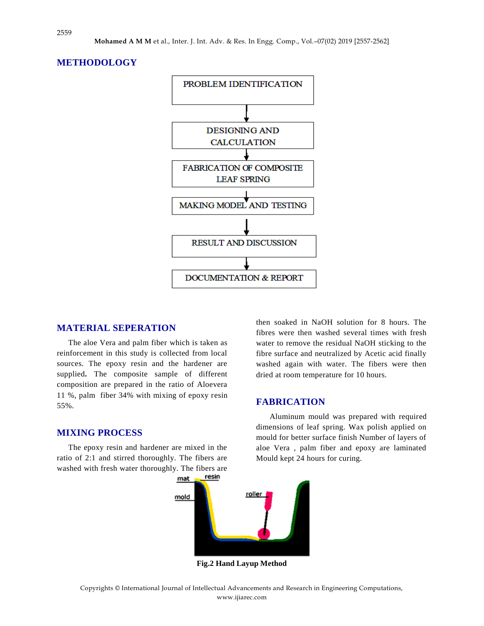



#### **MATERIAL SEPERATION**

The aloe Vera and palm fiber which is taken as reinforcement in this study is collected from local sources. The epoxy resin and the hardener are supplied**.** The composite sample of different composition are prepared in the ratio of Aloevera 11 %, palm fiber 34% with mixing of epoxy resin 55%.

#### **MIXING PROCESS**

The epoxy resin and hardener are mixed in the ratio of 2:1 and stirred thoroughly. The fibers are washed with fresh water thoroughly. The fibers are then soaked in NaOH solution for 8 hours. The fibres were then washed several times with fresh water to remove the residual NaOH sticking to the fibre surface and neutralized by Acetic acid finally washed again with water. The fibers were then dried at room temperature for 10 hours.

#### **FABRICATION**

Aluminum mould was prepared with required dimensions of leaf spring. Wax polish applied on mould for better surface finish Number of layers of aloe Vera , palm fiber and epoxy are laminated Mould kept 24 hours for curing.



**Fig.2 Hand Layup Method**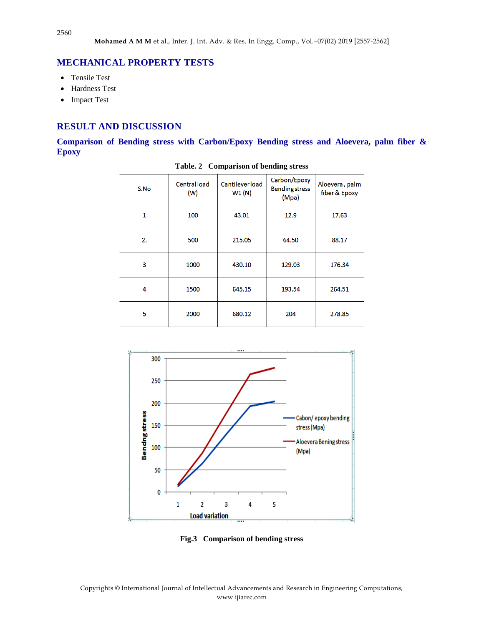# **MECHANICAL PROPERTY TESTS**

- Tensile Test
- Hardness Test
- Impact Test

# **RESULT AND DISCUSSION**

**Comparison of Bending stress with Carbon/Epoxy Bending stress and Aloevera, palm fiber & Epoxy** 

| S.No | <b>Central load</b><br>(W) | <b>Cantileverload</b><br>W1(N) | Carbon/Epoxy<br><b>Bending stress</b><br>(Mpa) | Aloevera, palm<br>fiber & Epoxy |
|------|----------------------------|--------------------------------|------------------------------------------------|---------------------------------|
| 1    | 100                        | 43.01                          | 12.9                                           | 17.63                           |
| 2.   | 500                        | 215.05                         | 64.50                                          | 88.17                           |
| 3    | 1000                       | 430.10                         | 129.03                                         | 176.34                          |
| 4    | 1500                       | 645.15                         | 193.54                                         | 264.51                          |
| 5    | 2000                       | 680.12                         | 204                                            | 278.85                          |

**Table. 2 Comparison of bending stress**



**Fig.3 Comparison of bending stress**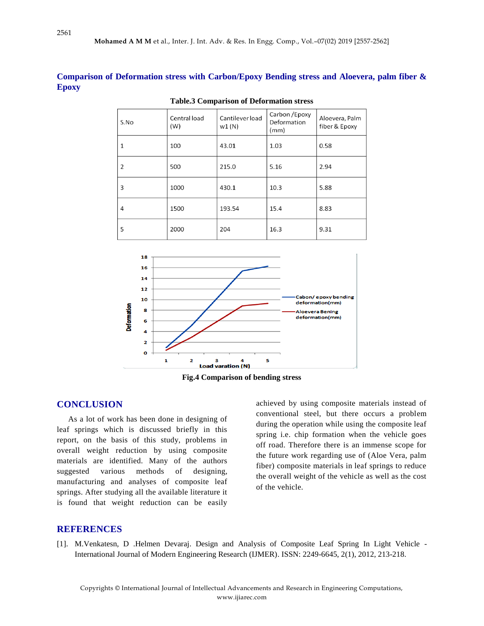**Comparison of Deformation stress with Carbon/Epoxy Bending stress and Aloevera, palm fiber & Epoxy**

| S.No | Central load<br>(W) | Cantilever load<br>w1(N) | Carbon / Epoxy<br>Deformation<br>(mm) | Aloevera, Palm<br>fiber & Epoxy |
|------|---------------------|--------------------------|---------------------------------------|---------------------------------|
| 1    | 100                 | 43.01                    | 1.03                                  | 0.58                            |
| 2    | 500                 | 215.0                    | 5.16                                  | 2.94                            |
| 3    | 1000                | 430.1                    | 10.3                                  | 5.88                            |
| 4    | 1500                | 193.54                   | 15.4                                  | 8.83                            |
| 5    | 2000                | 204                      | 16.3                                  | 9.31                            |

**Table.3 Comparison of Deformation stress**



**Fig.4 Comparison of bending stress**

### **CONCLUSION**

As a lot of work has been done in designing of leaf springs which is discussed briefly in this report, on the basis of this study, problems in overall weight reduction by using composite materials are identified. Many of the authors suggested various methods of designing, manufacturing and analyses of composite leaf springs. After studying all the available literature it is found that weight reduction can be easily

achieved by using composite materials instead of conventional steel, but there occurs a problem during the operation while using the composite leaf spring i.e. chip formation when the vehicle goes off road. Therefore there is an immense scope for the future work regarding use of (Aloe Vera, palm fiber) composite materials in leaf springs to reduce the overall weight of the vehicle as well as the cost of the vehicle.

#### **REFERENCES**

[1]. M.Venkatesn, D .Helmen Devaraj. Design and Analysis of Composite Leaf Spring In Light Vehicle - International Journal of Modern Engineering Research (IJMER). ISSN: 2249-6645, 2(1), 2012, 213-218.